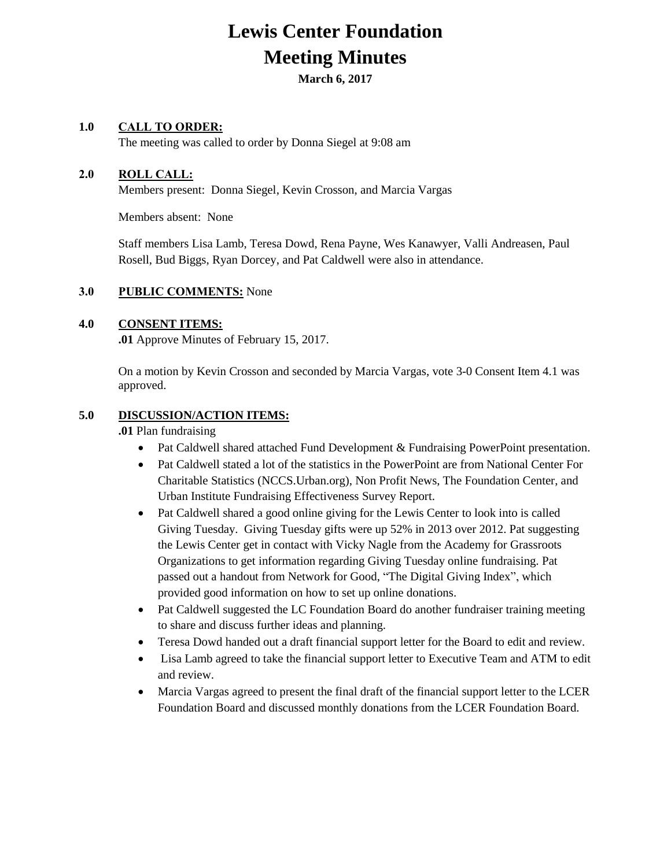# **Lewis Center Foundation Meeting Minutes**

**March 6, 2017**

#### **1.0 CALL TO ORDER:**

The meeting was called to order by Donna Siegel at 9:08 am

### **2.0 ROLL CALL:**

Members present: Donna Siegel, Kevin Crosson, and Marcia Vargas

Members absent: None

Staff members Lisa Lamb, Teresa Dowd, Rena Payne, Wes Kanawyer, Valli Andreasen, Paul Rosell, Bud Biggs, Ryan Dorcey, and Pat Caldwell were also in attendance.

#### **3.0 PUBLIC COMMENTS:** None

#### **4.0 CONSENT ITEMS:**

**.01** Approve Minutes of February 15, 2017.

On a motion by Kevin Crosson and seconded by Marcia Vargas, vote 3-0 Consent Item 4.1 was approved.

#### **5.0 DISCUSSION/ACTION ITEMS:**

#### **.01** Plan fundraising

- Pat Caldwell shared attached Fund Development & Fundraising PowerPoint presentation.
- Pat Caldwell stated a lot of the statistics in the PowerPoint are from National Center For Charitable Statistics (NCCS.Urban.org), Non Profit News, The Foundation Center, and Urban Institute Fundraising Effectiveness Survey Report.
- Pat Caldwell shared a good online giving for the Lewis Center to look into is called Giving Tuesday. Giving Tuesday gifts were up 52% in 2013 over 2012. Pat suggesting the Lewis Center get in contact with Vicky Nagle from the Academy for Grassroots Organizations to get information regarding Giving Tuesday online fundraising. Pat passed out a handout from Network for Good, "The Digital Giving Index", which provided good information on how to set up online donations.
- Pat Caldwell suggested the LC Foundation Board do another fundraiser training meeting to share and discuss further ideas and planning.
- Teresa Dowd handed out a draft financial support letter for the Board to edit and review.
- Lisa Lamb agreed to take the financial support letter to Executive Team and ATM to edit and review.
- Marcia Vargas agreed to present the final draft of the financial support letter to the LCER Foundation Board and discussed monthly donations from the LCER Foundation Board.